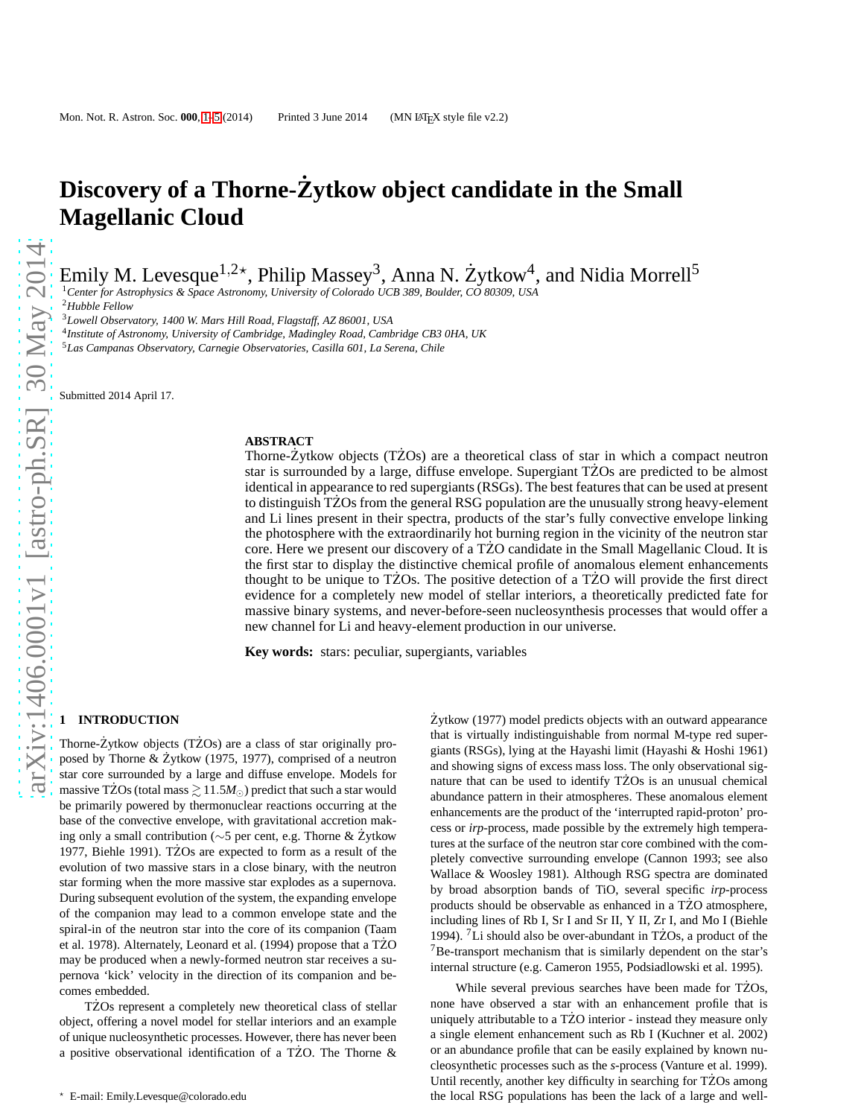# **Discovery of a Thorne-Zytkow object candidate in the Small ˙ Magellanic Cloud**

Emily M. Levesque $^{1,2\star}$ , Philip Massey $^3$ , Anna N. Żytkow $^4$ , and Nidia Morrell $^5$ 

<sup>1</sup>*Center for Astrophysics & Space Astronomy, University of Colorado UCB 389, Boulder, CO 80309, USA*

<sup>2</sup>*Hubble Fellow*

<sup>3</sup>*Lowell Observatory, 1400 W. Mars Hill Road, Flagstaff, AZ 86001, USA*

4 *Institute of Astronomy, University of Cambridge, Madingley Road, Cambridge CB3 0HA, UK*

<sup>5</sup>*Las Campanas Observatory, Carnegie Observatories, Casilla 601, La Serena, Chile*

Submitted 2014 April 17.

#### **ABSTRACT**

Thorne- $\dot{Z}$ ytkow objects (T $\dot{Z}$ Os) are a theoretical class of star in which a compact neutron star is surrounded by a large, diffuse envelope. Supergiant TZOs are predicted to be almost identical in appearance to red supergiants (RSGs). The best features that can be used at present to distinguish TZOs from the general RSG population are the unusually strong heavy-element and Li lines present in their spectra, products of the star's fully convective envelope linking the photosphere with the extraordinarily hot burning region in the vicinity of the neutron star core. Here we present our discovery of a TZO candidate in the Small Magellanic Cloud. It is the first star to display the distinctive chemical profile of anomalous element enhancements thought to be unique to TZOs. The positive detection of a TZO will provide the first direct evidence for a completely new model of stellar interiors, a theoretically predicted fate for massive binary systems, and never-before-seen nucleosynthesis processes that would offer a new channel for Li and heavy-element production in our universe.

**Key words:** stars: peculiar, supergiants, variables

## <span id="page-0-0"></span>**1 INTRODUCTION**

Thorne- $\dot{Z}$ ytkow objects (T $\dot{Z}$ Os) are a class of star originally proposed by Thorne & Żytkow (1975, 1977), comprised of a neutron star core surrounded by a large and diffuse envelope. Models for massive TZOs (total mass  $\geq 11.5M_{\odot}$ ) predict that such a star would be primarily powered by thermonuclear reactions occurring at the base of the convective envelope, with gravitational accretion making only a small contribution (∼5 per cent, e.g. Thorne & Zytkow ˙ 1977, Biehle 1991). T $\angle$ Os are expected to form as a result of the evolution of two massive stars in a close binary, with the neutron star forming when the more massive star explodes as a supernova. During subsequent evolution of the system, the expanding envelope of the companion may lead to a common envelope state and the spiral-in of the neutron star into the core of its companion (Taam et al. 1978). Alternately, Leonard et al. (1994) propose that a TZO may be produced when a newly-formed neutron star receives a supernova 'kick' velocity in the direction of its companion and becomes embedded.

TŻOs represent a completely new theoretical class of stellar object, offering a novel model for stellar interiors and an example of unique nucleosynthetic processes. However, there has never been a positive observational identification of a TZO. The Thorne  $\&$ 

 $\dot{Z}$ ytkow (1977) model predicts objects with an outward appearance that is virtually indistinguishable from normal M-type red supergiants (RSGs), lying at the Hayashi limit (Hayashi & Hoshi 1961) and showing signs of excess mass loss. The only observational signature that can be used to identify TZOs is an unusual chemical abundance pattern in their atmospheres. These anomalous element enhancements are the product of the 'interrupted rapid-proton' process or *irp*-process, made possible by the extremely high temperatures at the surface of the neutron star core combined with the completely convective surrounding envelope (Cannon 1993; see also Wallace & Woosley 1981). Although RSG spectra are dominated by broad absorption bands of TiO, several specific *irp*-process products should be observable as enhanced in a TZO atmosphere, including lines of Rb I, Sr I and Sr II, Y II, Zr I, and Mo I (Biehle 1994). <sup>7</sup>Li should also be over-abundant in TZOs, a product of the  $7B$ e-transport mechanism that is similarly dependent on the star's internal structure (e.g. Cameron 1955, Podsiadlowski et al. 1995).

While several previous searches have been made for TZOs, none have observed a star with an enhancement profile that is uniquely attributable to a TZO interior - instead they measure only a single element enhancement such as Rb I (Kuchner et al. 2002) or an abundance profile that can be easily explained by known nucleosynthetic processes such as the *s*-process (Vanture et al. 1999). Until recently, another key difficulty in searching for TZOs among the local RSG populations has been the lack of a large and well-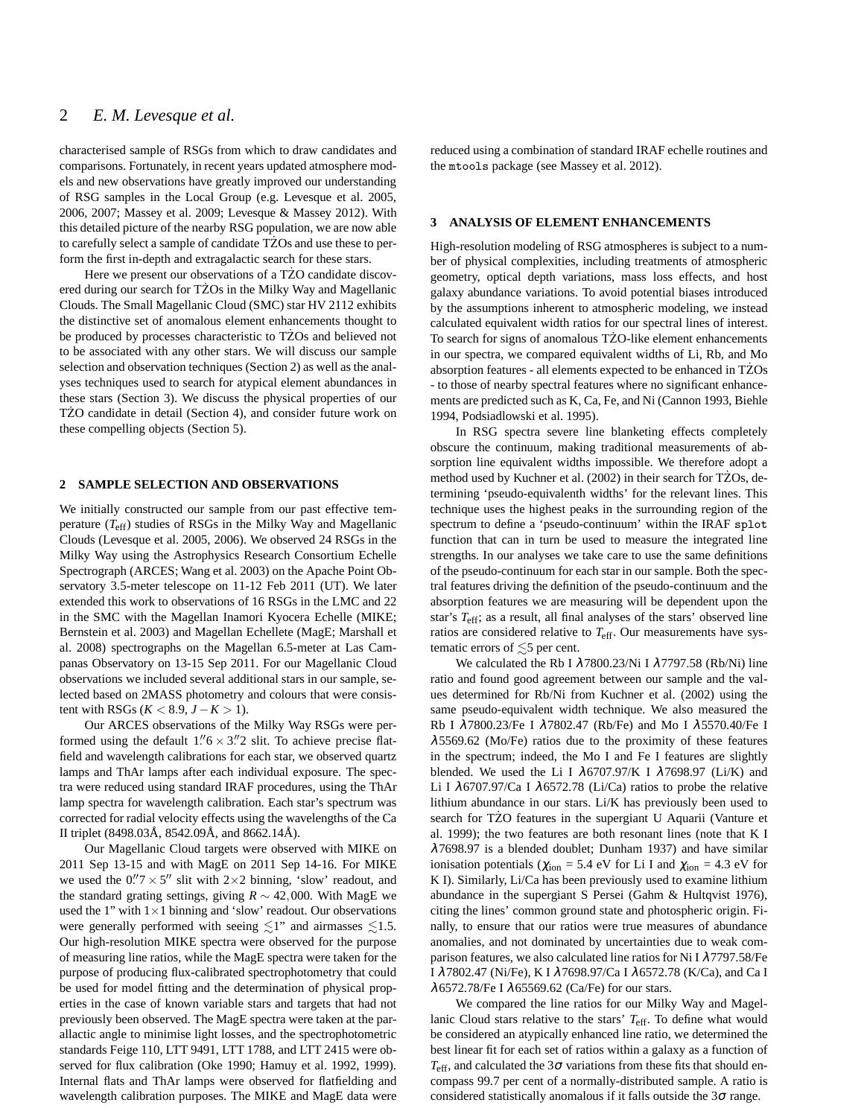## 2 *E. M. Levesque et al.*

characterised sample of RSGs from which to draw candidates and comparisons. Fortunately, in recent years updated atmosphere models and new observations have greatly improved our understanding of RSG samples in the Local Group (e.g. Levesque et al. 2005, 2006, 2007; Massey et al. 2009; Levesque & Massey 2012). With this detailed picture of the nearby RSG population, we are now able to carefully select a sample of candidate TZOs and use these to perform the first in-depth and extragalactic search for these stars.

Here we present our observations of a TZO candidate discovered during our search for TZOs in the Milky Way and Magellanic Clouds. The Small Magellanic Cloud (SMC) star HV 2112 exhibits the distinctive set of anomalous element enhancements thought to be produced by processes characteristic to TZOs and believed not to be associated with any other stars. We will discuss our sample selection and observation techniques (Section 2) as well as the analyses techniques used to search for atypical element abundances in these stars (Section 3). We discuss the physical properties of our TZO candidate in detail (Section 4), and consider future work on these compelling objects (Section 5).

#### **2 SAMPLE SELECTION AND OBSERVATIONS**

We initially constructed our sample from our past effective temperature (*T*eff) studies of RSGs in the Milky Way and Magellanic Clouds (Levesque et al. 2005, 2006). We observed 24 RSGs in the Milky Way using the Astrophysics Research Consortium Echelle Spectrograph (ARCES; Wang et al. 2003) on the Apache Point Observatory 3.5-meter telescope on 11-12 Feb 2011 (UT). We later extended this work to observations of 16 RSGs in the LMC and 22 in the SMC with the Magellan Inamori Kyocera Echelle (MIKE; Bernstein et al. 2003) and Magellan Echellete (MagE; Marshall et al. 2008) spectrographs on the Magellan 6.5-meter at Las Campanas Observatory on 13-15 Sep 2011. For our Magellanic Cloud observations we included several additional stars in our sample, selected based on 2MASS photometry and colours that were consis $t$ ent with RSGs (*K* < 8.9, *J* − *K* > 1).

Our ARCES observations of the Milky Way RSGs were performed using the default  $1.\,1.\,6 \times 3.\,12$  slit. To achieve precise flatfield and wavelength calibrations for each star, we observed quartz lamps and ThAr lamps after each individual exposure. The spectra were reduced using standard IRAF procedures, using the ThAr lamp spectra for wavelength calibration. Each star's spectrum was corrected for radial velocity effects using the wavelengths of the Ca II triplet (8498.03Å, 8542.09Å, and 8662.14Å).

Our Magellanic Cloud targets were observed with MIKE on 2011 Sep 13-15 and with MagE on 2011 Sep 14-16. For MIKE we used the  $0.\n"7 \times 5"$  slit with  $2 \times 2$  binning, 'slow' readout, and the standard grating settings, giving  $R \sim 42,000$ . With MagE we used the 1" with  $1\times1$  binning and 'slow' readout. Our observations were generally performed with seeing  $\leq 1$ " and airmasses  $\leq 1.5$ . Our high-resolution MIKE spectra were observed for the purpose of measuring line ratios, while the MagE spectra were taken for the purpose of producing flux-calibrated spectrophotometry that could be used for model fitting and the determination of physical properties in the case of known variable stars and targets that had not previously been observed. The MagE spectra were taken at the parallactic angle to minimise light losses, and the spectrophotometric standards Feige 110, LTT 9491, LTT 1788, and LTT 2415 were observed for flux calibration (Oke 1990; Hamuy et al. 1992, 1999). Internal flats and ThAr lamps were observed for flatfielding and wavelength calibration purposes. The MIKE and MagE data were

reduced using a combination of standard IRAF echelle routines and the mtools package (see Massey et al. 2012).

### **3 ANALYSIS OF ELEMENT ENHANCEMENTS**

High-resolution modeling of RSG atmospheres is subject to a number of physical complexities, including treatments of atmospheric geometry, optical depth variations, mass loss effects, and host galaxy abundance variations. To avoid potential biases introduced by the assumptions inherent to atmospheric modeling, we instead calculated equivalent width ratios for our spectral lines of interest. To search for signs of anomalous TZO-like element enhancements in our spectra, we compared equivalent widths of Li, Rb, and Mo absorption features - all elements expected to be enhanced in TZOs - to those of nearby spectral features where no significant enhancements are predicted such as K, Ca, Fe, and Ni (Cannon 1993, Biehle 1994, Podsiadlowski et al. 1995).

In RSG spectra severe line blanketing effects completely obscure the continuum, making traditional measurements of absorption line equivalent widths impossible. We therefore adopt a method used by Kuchner et al. (2002) in their search for TZOs, determining 'pseudo-equivalenth widths' for the relevant lines. This technique uses the highest peaks in the surrounding region of the spectrum to define a 'pseudo-continuum' within the IRAF splot function that can in turn be used to measure the integrated line strengths. In our analyses we take care to use the same definitions of the pseudo-continuum for each star in our sample. Both the spectral features driving the definition of the pseudo-continuum and the absorption features we are measuring will be dependent upon the star's *T*eff; as a result, all final analyses of the stars' observed line ratios are considered relative to *T*eff. Our measurements have systematic errors of  $\leq 5$  per cent.

We calculated the Rb I  $\lambda$ 7800.23/Ni I  $\lambda$ 7797.58 (Rb/Ni) line ratio and found good agreement between our sample and the values determined for Rb/Ni from Kuchner et al. (2002) using the same pseudo-equivalent width technique. We also measured the Rb I λ7800.23/Fe I λ7802.47 (Rb/Fe) and Mo I λ5570.40/Fe I  $\lambda$ 5569.62 (Mo/Fe) ratios due to the proximity of these features in the spectrum; indeed, the Mo I and Fe I features are slightly blended. We used the Li I  $\lambda$ 6707.97/K I  $\lambda$ 7698.97 (Li/K) and Li I  $\lambda$ 6707.97/Ca I  $\lambda$ 6572.78 (Li/Ca) ratios to probe the relative lithium abundance in our stars. Li/K has previously been used to search for TZO features in the supergiant U Aquarii (Vanture et al. 1999); the two features are both resonant lines (note that K I λ7698.97 is a blended doublet; Dunham 1937) and have similar ionisation potentials ( $\chi_{\text{ion}} = 5.4$  eV for Li I and  $\chi_{\text{ion}} = 4.3$  eV for K I). Similarly, Li/Ca has been previously used to examine lithium abundance in the supergiant S Persei (Gahm & Hultqvist 1976), citing the lines' common ground state and photospheric origin. Finally, to ensure that our ratios were true measures of abundance anomalies, and not dominated by uncertainties due to weak comparison features, we also calculated line ratios for Ni I  $\lambda$ 7797.58/Fe I λ7802.47 (Ni/Fe), K I λ7698.97/Ca I λ6572.78 (K/Ca), and Ca I  $\lambda$ 6572.78/Fe I  $\lambda$ 65569.62 (Ca/Fe) for our stars.

We compared the line ratios for our Milky Way and Magellanic Cloud stars relative to the stars' *T*eff. To define what would be considered an atypically enhanced line ratio, we determined the best linear fit for each set of ratios within a galaxy as a function of  $T_{\text{eff}}$ , and calculated the 3 $\sigma$  variations from these fits that should encompass 99.7 per cent of a normally-distributed sample. A ratio is considered statistically anomalous if it falls outside the 3<sup>σ</sup> range.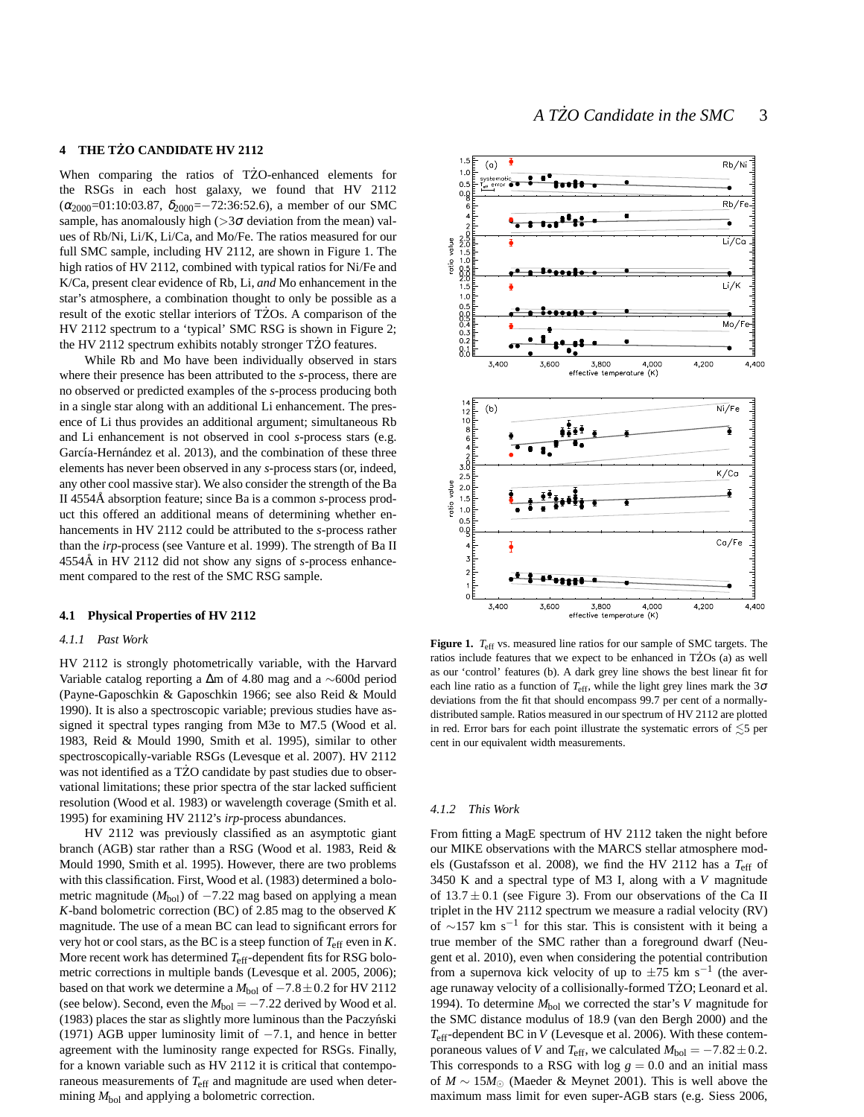## **4 THE TZO CANDIDATE HV 2112 ˙**

When comparing the ratios of TZO-enhanced elements for the RSGs in each host galaxy, we found that HV 2112  $(\alpha_{2000}$ =01:10:03.87,  $\delta_{2000}$ =-72:36:52.6), a member of our SMC sample, has anomalously high  $(>3\sigma$  deviation from the mean) values of Rb/Ni, Li/K, Li/Ca, and Mo/Fe. The ratios measured for our full SMC sample, including HV 2112, are shown in Figure 1. The high ratios of HV 2112, combined with typical ratios for Ni/Fe and K/Ca, present clear evidence of Rb, Li, *and* Mo enhancement in the star's atmosphere, a combination thought to only be possible as a result of the exotic stellar interiors of TZOs. A comparison of the HV 2112 spectrum to a 'typical' SMC RSG is shown in Figure 2; the HV 2112 spectrum exhibits notably stronger TZO features. ˙

While Rb and Mo have been individually observed in stars where their presence has been attributed to the *s*-process, there are no observed or predicted examples of the *s*-process producing both in a single star along with an additional Li enhancement. The presence of Li thus provides an additional argument; simultaneous Rb and Li enhancement is not observed in cool *s*-process stars (e.g. García-Hernández et al. 2013), and the combination of these three elements has never been observed in any *s*-process stars (or, indeed, any other cool massive star). We also consider the strength of the Ba II 4554Å absorption feature; since Ba is a common s-process product this offered an additional means of determining whether enhancements in HV 2112 could be attributed to the *s*-process rather than the *irp*-process (see Vanture et al. 1999). The strength of Ba II 4554Å in HV 2112 did not show any signs of *s*-process enhancement compared to the rest of the SMC RSG sample.

#### **4.1 Physical Properties of HV 2112**

#### *4.1.1 Past Work*

HV 2112 is strongly photometrically variable, with the Harvard Variable catalog reporting a ∆m of 4.80 mag and a ∼600d period (Payne-Gaposchkin & Gaposchkin 1966; see also Reid & Mould 1990). It is also a spectroscopic variable; previous studies have assigned it spectral types ranging from M3e to M7.5 (Wood et al. 1983, Reid & Mould 1990, Smith et al. 1995), similar to other spectroscopically-variable RSGs (Levesque et al. 2007). HV 2112 was not identified as a TZO candidate by past studies due to observational limitations; these prior spectra of the star lacked sufficient resolution (Wood et al. 1983) or wavelength coverage (Smith et al. 1995) for examining HV 2112's *irp*-process abundances.

HV 2112 was previously classified as an asymptotic giant branch (AGB) star rather than a RSG (Wood et al. 1983, Reid & Mould 1990, Smith et al. 1995). However, there are two problems with this classification. First, Wood et al. (1983) determined a bolometric magnitude ( $M_{bol}$ ) of  $-7.22$  mag based on applying a mean *K*-band bolometric correction (BC) of 2.85 mag to the observed *K* magnitude. The use of a mean BC can lead to significant errors for very hot or cool stars, as the BC is a steep function of  $T_{\text{eff}}$  even in *K*. More recent work has determined *T*eff-dependent fits for RSG bolometric corrections in multiple bands (Levesque et al. 2005, 2006); based on that work we determine a  $M_{\rm bol}$  of  $-7.8\pm0.2$  for HV 2112 (see below). Second, even the  $M_{bol} = -7.22$  derived by Wood et al.  $(1983)$  places the star as slightly more luminous than the Paczyński (1971) AGB upper luminosity limit of  $-7.1$ , and hence in better agreement with the luminosity range expected for RSGs. Finally, for a known variable such as HV 2112 it is critical that contemporaneous measurements of *T*eff and magnitude are used when determining  $M_{bol}$  and applying a bolometric correction.



**Figure 1.** *T*<sub>eff</sub> vs. measured line ratios for our sample of SMC targets. The ratios include features that we expect to be enhanced in TZOs  $(a)$  as well as our 'control' features (b). A dark grey line shows the best linear fit for each line ratio as a function of  $T_{\text{eff}}$ , while the light grey lines mark the 3 $\sigma$ deviations from the fit that should encompass 99.7 per cent of a normallydistributed sample. Ratios measured in our spectrum of HV 2112 are plotted in red. Error bars for each point illustrate the systematic errors of  $\lesssim$ 5 per cent in our equivalent width measurements.

#### *4.1.2 This Work*

From fitting a MagE spectrum of HV 2112 taken the night before our MIKE observations with the MARCS stellar atmosphere models (Gustafsson et al. 2008), we find the HV 2112 has a *T*eff of 3450 K and a spectral type of M3 I, along with a *V* magnitude of  $13.7 \pm 0.1$  (see Figure 3). From our observations of the Ca II triplet in the HV 2112 spectrum we measure a radial velocity (RV) of ∼157 km s−<sup>1</sup> for this star. This is consistent with it being a true member of the SMC rather than a foreground dwarf (Neugent et al. 2010), even when considering the potential contribution from a supernova kick velocity of up to  $\pm 75$  km s<sup>-1</sup> (the average runaway velocity of a collisionally-formed TZO; Leonard et al. 1994). To determine  $M_{bol}$  we corrected the star's *V* magnitude for the SMC distance modulus of 18.9 (van den Bergh 2000) and the *T*eff-dependent BC in *V* (Levesque et al. 2006). With these contemporaneous values of *V* and  $T_{\text{eff}}$ , we calculated  $M_{\text{bol}} = -7.82 \pm 0.2$ . This corresponds to a RSG with log  $g = 0.0$  and an initial mass of *M* ∼ 15*M*<sup>⊙</sup> (Maeder & Meynet 2001). This is well above the maximum mass limit for even super-AGB stars (e.g. Siess 2006,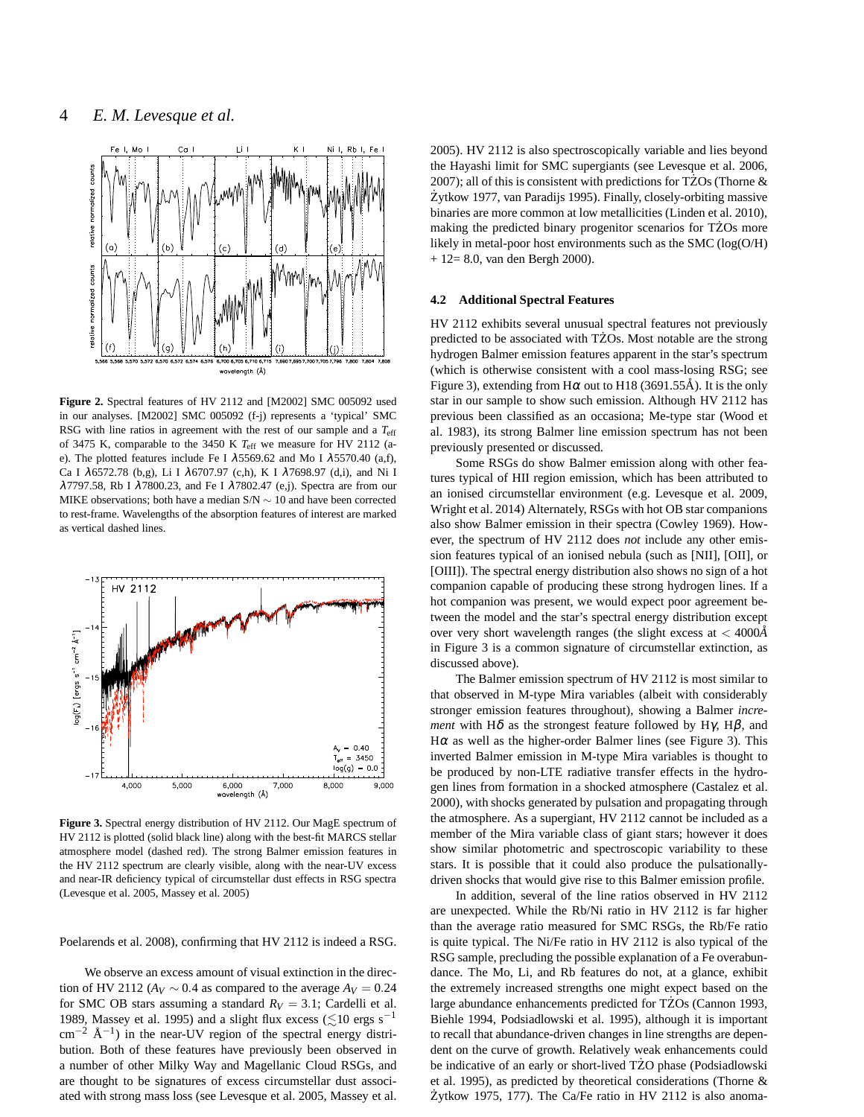

**Figure 2.** Spectral features of HV 2112 and [M2002] SMC 005092 used in our analyses. [M2002] SMC 005092 (f-j) represents a 'typical' SMC RSG with line ratios in agreement with the rest of our sample and a *T*eff of 3475 K, comparable to the 3450 K *T*eff we measure for HV 2112 (ae). The plotted features include Fe I  $\lambda$ 5569.62 and Mo I  $\lambda$ 5570.40 (a,f), Ca I λ6572.78 (b,g), Li I λ6707.97 (c,h), K I λ7698.97 (d,i), and Ni I λ7797.58, Rb I λ7800.23, and Fe I λ7802.47 (e,j). Spectra are from our MIKE observations; both have a median S/N ∼ 10 and have been corrected to rest-frame. Wavelengths of the absorption features of interest are marked as vertical dashed lines.



**Figure 3.** Spectral energy distribution of HV 2112. Our MagE spectrum of HV 2112 is plotted (solid black line) along with the best-fit MARCS stellar atmosphere model (dashed red). The strong Balmer emission features in the HV 2112 spectrum are clearly visible, along with the near-UV excess and near-IR deficiency typical of circumstellar dust effects in RSG spectra (Levesque et al. 2005, Massey et al. 2005)

Poelarends et al. 2008), confirming that HV 2112 is indeed a RSG.

We observe an excess amount of visual extinction in the direction of HV 2112 ( $A_V \sim 0.4$  as compared to the average  $A_V = 0.24$ for SMC OB stars assuming a standard  $R_V = 3.1$ ; Cardelli et al. 1989, Massey et al. 1995) and a slight flux excess ( $\leq 10$  ergs s<sup>-1</sup>  $\text{cm}^{-2}$  Å<sup>-1</sup>) in the near-UV region of the spectral energy distribution. Both of these features have previously been observed in a number of other Milky Way and Magellanic Cloud RSGs, and are thought to be signatures of excess circumstellar dust associated with strong mass loss (see Levesque et al. 2005, Massey et al.

2005). HV 2112 is also spectroscopically variable and lies beyond the Hayashi limit for SMC supergiants (see Levesque et al. 2006, 2007); all of this is consistent with predictions for TZOs (Thorne  $\&$ Żytkow 1977, van Paradijs 1995). Finally, closely-orbiting massive binaries are more common at low metallicities (Linden et al. 2010), making the predicted binary progenitor scenarios for TZOs more likely in metal-poor host environments such as the SMC (log(O/H) + 12= 8.0, van den Bergh 2000).

#### **4.2 Additional Spectral Features**

HV 2112 exhibits several unusual spectral features not previously predicted to be associated with TZOs. Most notable are the strong hydrogen Balmer emission features apparent in the star's spectrum (which is otherwise consistent with a cool mass-losing RSG; see Figure 3), extending from H $\alpha$  out to H18 (3691.55Å). It is the only star in our sample to show such emission. Although HV 2112 has previous been classified as an occasiona; Me-type star (Wood et al. 1983), its strong Balmer line emission spectrum has not been previously presented or discussed.

Some RSGs do show Balmer emission along with other features typical of HII region emission, which has been attributed to an ionised circumstellar environment (e.g. Levesque et al. 2009, Wright et al. 2014) Alternately, RSGs with hot OB star companions also show Balmer emission in their spectra (Cowley 1969). However, the spectrum of HV 2112 does *not* include any other emission features typical of an ionised nebula (such as [NII], [OII], or [OIII]). The spectral energy distribution also shows no sign of a hot companion capable of producing these strong hydrogen lines. If a hot companion was present, we would expect poor agreement between the model and the star's spectral energy distribution except over very short wavelength ranges (the slight excess at < 4000*A*˚ in Figure 3 is a common signature of circumstellar extinction, as discussed above).

The Balmer emission spectrum of HV 2112 is most similar to that observed in M-type Mira variables (albeit with considerably stronger emission features throughout), showing a Balmer *increment* with H $\delta$  as the strongest feature followed by H $\gamma$ , H $\beta$ , and  $H\alpha$  as well as the higher-order Balmer lines (see Figure 3). This inverted Balmer emission in M-type Mira variables is thought to be produced by non-LTE radiative transfer effects in the hydrogen lines from formation in a shocked atmosphere (Castalez et al. 2000), with shocks generated by pulsation and propagating through the atmosphere. As a supergiant, HV 2112 cannot be included as a member of the Mira variable class of giant stars; however it does show similar photometric and spectroscopic variability to these stars. It is possible that it could also produce the pulsationallydriven shocks that would give rise to this Balmer emission profile.

In addition, several of the line ratios observed in HV 2112 are unexpected. While the Rb/Ni ratio in HV 2112 is far higher than the average ratio measured for SMC RSGs, the Rb/Fe ratio is quite typical. The Ni/Fe ratio in HV 2112 is also typical of the RSG sample, precluding the possible explanation of a Fe overabundance. The Mo, Li, and Rb features do not, at a glance, exhibit the extremely increased strengths one might expect based on the large abundance enhancements predicted for TZOs (Cannon 1993, Biehle 1994, Podsiadlowski et al. 1995), although it is important to recall that abundance-driven changes in line strengths are dependent on the curve of growth. Relatively weak enhancements could be indicative of an early or short-lived TZO phase (Podsiadlowski et al. 1995), as predicted by theoretical considerations (Thorne & Żytkow 1975, 177). The Ca/Fe ratio in HV 2112 is also anoma